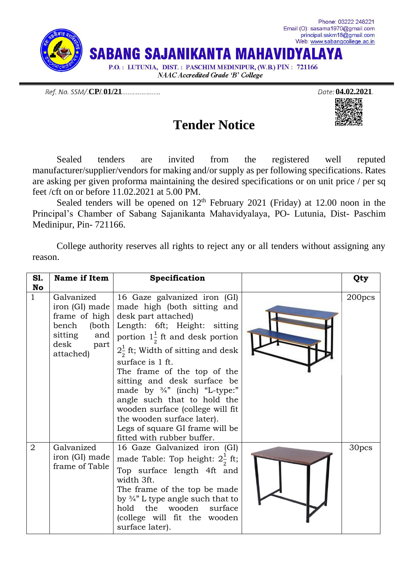

Ref. No. SSM/.**CP/.01/21** 2021.

धराज



Sealed tenders are invited from the registered well reputed manufacturer/supplier/vendors for making and/or supply as per following specifications. Rates are asking per given proforma maintaining the desired specifications or on unit price / per sq feet /cft on or before 11.02.2021 at 5.00 PM.

Sealed tenders will be opened on  $12<sup>th</sup>$  February 2021 (Friday) at 12.00 noon in the Principal's Chamber of Sabang Sajanikanta Mahavidyalaya, PO- Lutunia, Dist- Paschim Medinipur, Pin- 721166.

College authority reserves all rights to reject any or all tenders without assigning any reason.

| <b>S1.</b><br><b>No</b> | Name if Item                                                                        | Specification                                                                                                                                                                                                                                                                                                                                                                                                                                                                                                                           | Qty                |
|-------------------------|-------------------------------------------------------------------------------------|-----------------------------------------------------------------------------------------------------------------------------------------------------------------------------------------------------------------------------------------------------------------------------------------------------------------------------------------------------------------------------------------------------------------------------------------------------------------------------------------------------------------------------------------|--------------------|
| $\mathbf{1}$            | Galvanized<br>iron (GI) made<br>sitting and<br>$\mathrm{desk}$<br>part<br>attached) | 16 Gaze galvanized iron (GI)<br>made high (both sitting and<br>frame of high $\vert$ desk part attached)<br>bench (both Length: 6ft; Height: sitting<br>portion $1\frac{1}{2}$ ft and desk portion<br>$2\frac{1}{2}$ ft; Width of sitting and desk<br>surface is 1 ft.<br>The frame of the top of the<br>sitting and desk surface be<br>made by 3/4" (inch) "L-type:"<br>angle such that to hold the<br>wooden surface (college will fit<br>the wooden surface later).<br>Legs of square GI frame will be<br>fitted with rubber buffer. | 200 <sub>pcs</sub> |
| $\overline{2}$          | Galvanized<br>iron (GI) made<br>frame of Table                                      | 16 Gaze Galvanized iron (GI)<br>made Table: Top height: $2\frac{1}{2}$ ft;<br>Top surface length 4ft and<br>width 3ft.<br>The frame of the top be made<br>by $\frac{3}{4}$ ". L type angle such that to<br>hold the wooden surface<br>(college will fit the wooden<br>surface later).                                                                                                                                                                                                                                                   | 30pcs              |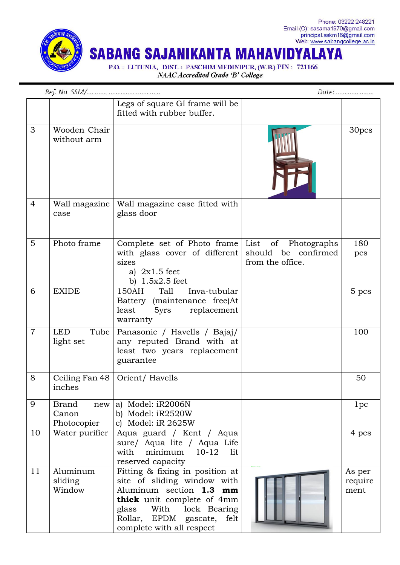

NAAC Accredited Grade 'B' College

|                |                                             | Legs of square GI frame will be<br>fitted with rubber buffer.                                                                                                                                                             |                                                           |                           |
|----------------|---------------------------------------------|---------------------------------------------------------------------------------------------------------------------------------------------------------------------------------------------------------------------------|-----------------------------------------------------------|---------------------------|
| 3              | Wooden Chair<br>without arm                 |                                                                                                                                                                                                                           |                                                           | 30pcs                     |
| $\overline{4}$ | Wall magazine<br>case                       | Wall magazine case fitted with<br>glass door                                                                                                                                                                              |                                                           |                           |
| 5              | Photo frame                                 | Complete set of Photo frame List<br>with glass cover of different<br>sizes<br>a) $2x1.5$ feet<br>b) $1.5x2.5$ feet                                                                                                        | of Photographs<br>should be confirmed<br>from the office. | 180<br>pcs                |
| 6              | <b>EXIDE</b>                                | Inva-tubular<br>150AH<br>Tall<br>Battery (maintenance free)At<br>5yrs replacement<br>least<br>warranty                                                                                                                    |                                                           | 5 pcs                     |
| $\overline{7}$ | <b>LED</b><br>Tube<br>light set             | Panasonic / Havells / Bajaj/<br>any reputed Brand with at<br>least two years replacement<br>guarantee                                                                                                                     |                                                           | 100                       |
| 8              | Ceiling Fan 48<br>inches                    | Orient/Havells                                                                                                                                                                                                            |                                                           | 50                        |
| 9              | <b>Brand</b><br>new<br>Canon<br>Photocopier | a) Model: iR2006N<br>b) Model: iR2520W<br>c) Model: $iR$ 2625W                                                                                                                                                            |                                                           | 1pc                       |
| 10             | Water purifier                              | Aqua guard / Kent / Aqua<br>sure/ Aqua lite / Aqua Life<br>$10-12$<br>minimum<br>lit<br>with<br>reserved capacity                                                                                                         |                                                           | 4 pcs                     |
| 11             | Aluminum<br>sliding<br>Window               | Fitting & fixing in position at<br>site of sliding window with<br>Aluminum section 1.3 mm<br>thick unit complete of 4mm<br>With lock Bearing<br>glass<br>Rollar,<br>EPDM<br>gascate,<br>felt<br>complete with all respect |                                                           | As per<br>require<br>ment |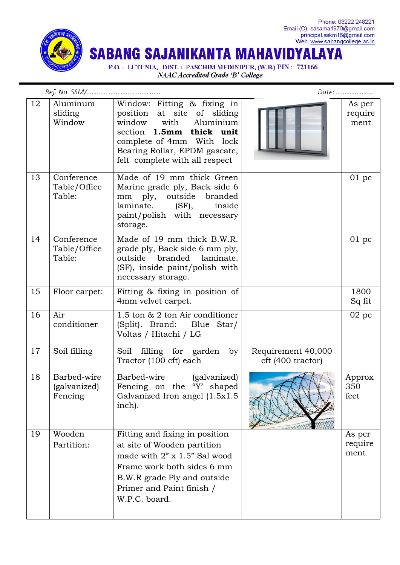

Phone: 03222 248221 Email (O): sasama1970@gmail.com<br>principal.sskm18@gmail.com<br>Web: www.sabangcollege.ac.in

**SABANG SAJANIKANTA MAHAVIDYALAYA** 

P.O.: LUTUNIA, DIST.: PASCHIM MEDINIPUR, (W.B.) PIN: 721166 NAAC Accredited Grade 'B' College

|    |                                        | Date:                                                                                                                                                                                                                 |                                         |                           |
|----|----------------------------------------|-----------------------------------------------------------------------------------------------------------------------------------------------------------------------------------------------------------------------|-----------------------------------------|---------------------------|
| 12 | Aluminum<br>sliding<br>Window          | Window: Fitting & fixing in<br>position at site of sliding<br>window<br>with<br>Aluminium<br>section 1.5mm thick unit<br>complete of 4mm With lock<br>Bearing Rollar, EPDM gascate,<br>felt complete with all respect |                                         | As per<br>require<br>ment |
| 13 | Conference<br>Table/Office<br>Table:   | Made of 19 mm thick Green<br>Marine grade ply, Back side 6<br>mm ply, outside<br>branded<br>laminate. (SF),<br>inside<br>paint/polish with necessary<br>storage.                                                      |                                         | 01~pc                     |
| 14 | Conference<br>Table/Office<br>Table:   | Made of 19 mm thick B.W.R.<br>grade ply, Back side 6 mm ply,<br>outside branded laminate.<br>(SF), inside paint/polish with<br>necessary storage.                                                                     |                                         | 01~pc                     |
| 15 | Floor carpet:                          | Fitting & fixing in position of<br>4mm velvet carpet.                                                                                                                                                                 |                                         | 1800<br>Sq fit            |
| 16 | Air<br>conditioner                     | 1.5 ton & 2 ton Air conditioner<br>(Split). Brand:<br>Blue Star/<br>Voltas / Hitachi / LG                                                                                                                             |                                         | 02 pc                     |
| 17 | Soil filling                           | Soil filling for garden by<br>Tractor (100 cft) each                                                                                                                                                                  | Requirement 40,000<br>cft (400 tractor) |                           |
| 18 | Barbed-wire<br>(galvanized)<br>Fencing | Barbed-wire<br>(galvanized)<br>Fencing on the "Y' shaped<br>Galvanized Iron angel $(1.5x1.5$<br>inch).                                                                                                                |                                         | Approx<br>350<br>feet     |
| 19 | Wooden<br>Partition:                   | Fitting and fixing in position<br>at site of Wooden partition<br>made with 2" x 1.5" Sal wood<br>Frame work both sides 6 mm<br>B.W.R grade Ply and outside<br>Primer and Paint finish /<br>W.P.C. board.              |                                         | As per<br>require<br>ment |